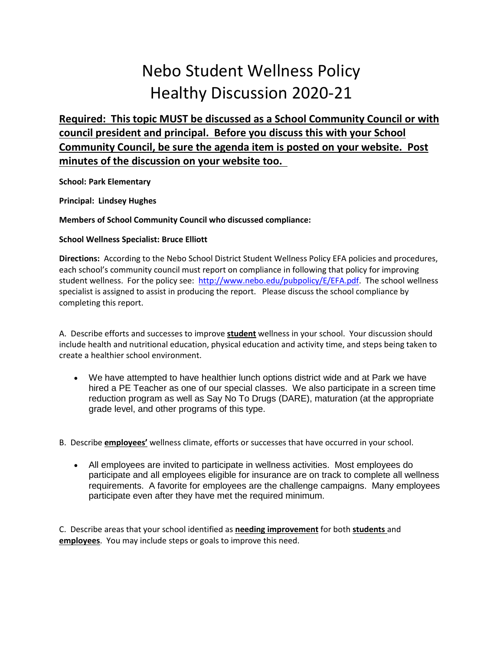## Nebo Student Wellness Policy Healthy Discussion 2020-21

**Required: This topic MUST be discussed as a School Community Council or with council president and principal. Before you discuss this with your School Community Council, be sure the agenda item is posted on your website. Post minutes of the discussion on your website too.** 

**School: Park Elementary**

**Principal: Lindsey Hughes**

## **Members of School Community Council who discussed compliance:**

## **School Wellness Specialist: Bruce Elliott**

**Directions:** According to the Nebo School District Student Wellness Policy EFA policies and procedures, each school's community council must report on compliance in following that policy for improving student wellness. For the policy see: [http://www.nebo.edu/pubpolicy/E/EFA.pdf.](http://www.nebo.edu/pubpolicy/E/EFA.pdf) The school wellness specialist is assigned to assist in producing the report. Please discuss the school compliance by completing this report.

A. Describe efforts and successes to improve **student** wellness in your school. Your discussion should include health and nutritional education, physical education and activity time, and steps being taken to create a healthier school environment.

• We have attempted to have healthier lunch options district wide and at Park we have hired a PE Teacher as one of our special classes. We also participate in a screen time reduction program as well as Say No To Drugs (DARE), maturation (at the appropriate grade level, and other programs of this type.

B. Describe **employees'** wellness climate, efforts or successes that have occurred in your school.

• All employees are invited to participate in wellness activities. Most employees do participate and all employees eligible for insurance are on track to complete all wellness requirements. A favorite for employees are the challenge campaigns. Many employees participate even after they have met the required minimum.

C. Describe areas that your school identified as **needing improvement** for both **students** and **employees**. You may include steps or goals to improve this need.